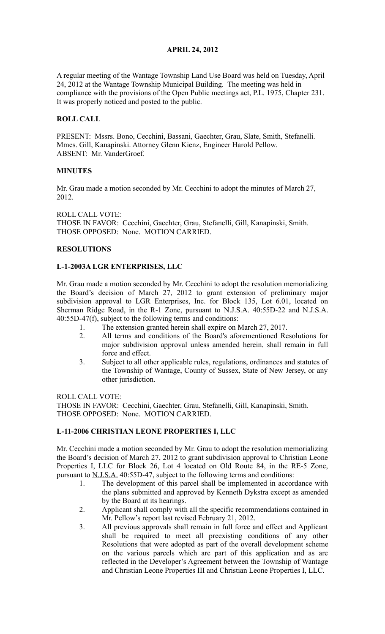### **APRIL 24, 2012**

A regular meeting of the Wantage Township Land Use Board was held on Tuesday, April 24, 2012 at the Wantage Township Municipal Building. The meeting was held in compliance with the provisions of the Open Public meetings act, P.L. 1975, Chapter 231. It was properly noticed and posted to the public.

### **ROLL CALL**

PRESENT: Mssrs. Bono, Cecchini, Bassani, Gaechter, Grau, Slate, Smith, Stefanelli. Mmes. Gill, Kanapinski. Attorney Glenn Kienz, Engineer Harold Pellow. ABSENT: Mr. VanderGroef.

### **MINUTES**

Mr. Grau made a motion seconded by Mr. Cecchini to adopt the minutes of March 27, 2012.

ROLL CALL VOTE: THOSE IN FAVOR: Cecchini, Gaechter, Grau, Stefanelli, Gill, Kanapinski, Smith. THOSE OPPOSED: None. MOTION CARRIED.

### **RESOLUTIONS**

### **L-1-2003A LGR ENTERPRISES, LLC**

Mr. Grau made a motion seconded by Mr. Cecchini to adopt the resolution memorializing the Board's decision of March 27, 2012 to grant extension of preliminary major subdivision approval to LGR Enterprises, Inc. for Block 135, Lot 6.01, located on Sherman Ridge Road, in the R-1 Zone, pursuant to N.J.S.A. 40:55D-22 and N.J.S.A. 40:55D-47(f), subject to the following terms and conditions:

- 1. The extension granted herein shall expire on March 27, 2017.
- 2. All terms and conditions of the Board's aforementioned Resolutions for major subdivision approval unless amended herein, shall remain in full force and effect.
- 3. Subject to all other applicable rules, regulations, ordinances and statutes of the Township of Wantage, County of Sussex, State of New Jersey, or any other jurisdiction.

ROLL CALL VOTE:

THOSE IN FAVOR: Cecchini, Gaechter, Grau, Stefanelli, Gill, Kanapinski, Smith. THOSE OPPOSED: None. MOTION CARRIED.

# **L-11-2006 CHRISTIAN LEONE PROPERTIES I, LLC**

Mr. Cecchini made a motion seconded by Mr. Grau to adopt the resolution memorializing the Board's decision of March 27, 2012 to grant subdivision approval to Christian Leone Properties I, LLC for Block 26, Lot 4 located on Old Route 84, in the RE-5 Zone, pursuant to <u>N.J.S.A.</u> 40:55D-47, subject to the following terms and conditions:

- 1. The development of this parcel shall be implemented in accordance with the plans submitted and approved by Kenneth Dykstra except as amended by the Board at its hearings.
- 2. Applicant shall comply with all the specific recommendations contained in Mr. Pellow's report last revised February 21, 2012.
- 3. All previous approvals shall remain in full force and effect and Applicant shall be required to meet all preexisting conditions of any other Resolutions that were adopted as part of the overall development scheme on the various parcels which are part of this application and as are reflected in the Developer's Agreement between the Township of Wantage and Christian Leone Properties III and Christian Leone Properties I, LLC.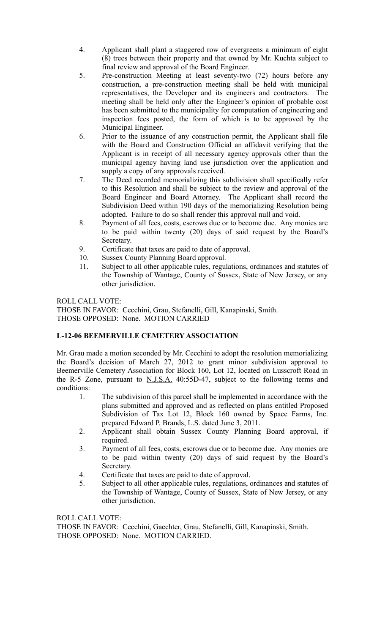- 4. Applicant shall plant a staggered row of evergreens a minimum of eight (8) trees between their property and that owned by Mr. Kuchta subject to final review and approval of the Board Engineer.
- 5. Pre-construction Meeting at least seventy-two (72) hours before any construction, a pre-construction meeting shall be held with municipal representatives, the Developer and its engineers and contractors. The meeting shall be held only after the Engineer's opinion of probable cost has been submitted to the municipality for computation of engineering and inspection fees posted, the form of which is to be approved by the Municipal Engineer.
- 6. Prior to the issuance of any construction permit, the Applicant shall file with the Board and Construction Official an affidavit verifying that the Applicant is in receipt of all necessary agency approvals other than the municipal agency having land use jurisdiction over the application and supply a copy of any approvals received.
- 7. The Deed recorded memorializing this subdivision shall specifically refer to this Resolution and shall be subject to the review and approval of the Board Engineer and Board Attorney. The Applicant shall record the Subdivision Deed within 190 days of the memorializing Resolution being adopted. Failure to do so shall render this approval null and void.
- 8. Payment of all fees, costs, escrows due or to become due. Any monies are to be paid within twenty (20) days of said request by the Board's Secretary.
- 9. Certificate that taxes are paid to date of approval.
- 10. Sussex County Planning Board approval.
- 11. Subject to all other applicable rules, regulations, ordinances and statutes of the Township of Wantage, County of Sussex, State of New Jersey, or any other jurisdiction.

ROLL CALL VOTE:

THOSE IN FAVOR: Cecchini, Grau, Stefanelli, Gill, Kanapinski, Smith. THOSE OPPOSED: None. MOTION CARRIED

# **L-12-06 BEEMERVILLE CEMETERY ASSOCIATION**

Mr. Grau made a motion seconded by Mr. Cecchini to adopt the resolution memorializing the Board's decision of March 27, 2012 to grant minor subdivision approval to Beemerville Cemetery Association for Block 160, Lot 12, located on Lusscroft Road in the R-5 Zone, pursuant to  $N.I.S.A.$  40:55D-47, subject to the following terms and conditions:

- 1. The subdivision of this parcel shall be implemented in accordance with the plans submitted and approved and as reflected on plans entitled Proposed Subdivision of Tax Lot 12, Block 160 owned by Space Farms, Inc. prepared Edward P. Brands, L.S. dated June 3, 2011.
- 2. Applicant shall obtain Sussex County Planning Board approval, if required.
- 3. Payment of all fees, costs, escrows due or to become due. Any monies are to be paid within twenty (20) days of said request by the Board's Secretary.
- 4. Certificate that taxes are paid to date of approval.
- 5. Subject to all other applicable rules, regulations, ordinances and statutes of the Township of Wantage, County of Sussex, State of New Jersey, or any other jurisdiction.

ROLL CALL VOTE:

THOSE IN FAVOR: Cecchini, Gaechter, Grau, Stefanelli, Gill, Kanapinski, Smith. THOSE OPPOSED: None. MOTION CARRIED.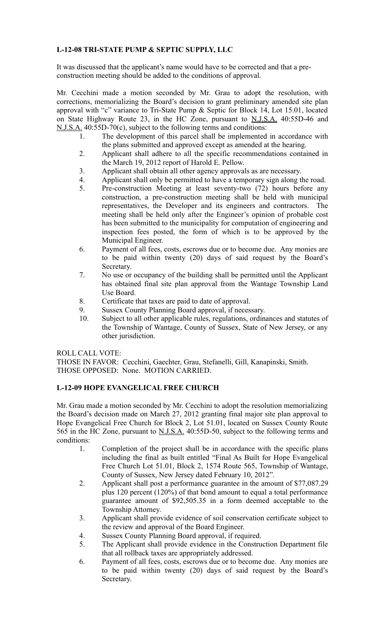# **L-12-08 TRI-STATE PUMP & SEPTIC SUPPLY, LLC**

It was discussed that the applicant's name would have to be corrected and that a preconstruction meeting should be added to the conditions of approval.

Mr. Cecchini made a motion seconded by Mr. Grau to adopt the resolution, with corrections, memorializing the Board's decision to grant preliminary amended site plan approval with "c" variance to Tri-State Pump & Septic for Block 14, Lot 15.01, located on State Highway Route 23, in the HC Zone, pursuant to N.J.S.A. 40:55D-46 and N.J.S.A. 40:55D-70(c), subject to the following terms and conditions:

- 1. The development of this parcel shall be implemented in accordance with the plans submitted and approved except as amended at the hearing.
- 2. Applicant shall adhere to all the specific recommendations contained in the March 19, 2012 report of Harold E. Pellow.
- 3. Applicant shall obtain all other agency approvals as are necessary.
- 4. Applicant shall only be permitted to have a temporary sign along the road.
- 5. Pre-construction Meeting at least seventy-two (72) hours before any construction, a pre-construction meeting shall be held with municipal representatives, the Developer and its engineers and contractors. The meeting shall be held only after the Engineer's opinion of probable cost has been submitted to the municipality for computation of engineering and inspection fees posted, the form of which is to be approved by the Municipal Engineer.
- 6. Payment of all fees, costs, escrows due or to become due. Any monies are to be paid within twenty (20) days of said request by the Board's Secretary.
- 7. No use or occupancy of the building shall be permitted until the Applicant has obtained final site plan approval from the Wantage Township Land Use Board.
- 8. Certificate that taxes are paid to date of approval.
- 9. Sussex County Planning Board approval, if necessary.
- 10. Subject to all other applicable rules, regulations, ordinances and statutes of the Township of Wantage, County of Sussex, State of New Jersey, or any other jurisdiction.

#### ROLL CALL VOTE:

THOSE IN FAVOR: Cecchini, Gaechter, Grau, Stefanelli, Gill, Kanapinski, Smith. THOSE OPPOSED: None. MOTION CARRIED.

### **L-12-09 HOPE EVANGELICAL FREE CHURCH**

Mr. Grau made a motion seconded by Mr. Cecchini to adopt the resolution memorializing the Board's decision made on March 27, 2012 granting final major site plan approval to Hope Evangelical Free Church for Block 2, Lot 51.01, located on Sussex County Route 565 in the HC Zone, pursuant to N.J.S.A. 40:55D-50, subject to the following terms and conditions:

- 1. Completion of the project shall be in accordance with the specific plans including the final as built entitled "Final As Built for Hope Evangelical Free Church Lot 51.01, Block 2, 1574 Route 565, Township of Wantage, County of Sussex, New Jersey dated February 10, 2012".
- 2. Applicant shall post a performance guarantee in the amount of \$77,087.29 plus 120 percent (120%) of that bond amount to equal a total performance guarantee amount of \$92,505.35 in a form deemed acceptable to the Township Attorney.
- 3. Applicant shall provide evidence of soil conservation certificate subject to the review and approval of the Board Engineer.
- 4. Sussex County Planning Board approval, if required.
- 5. The Applicant shall provide evidence in the Construction Department file that all rollback taxes are appropriately addressed.
- 6. Payment of all fees, costs, escrows due or to become due. Any monies are to be paid within twenty (20) days of said request by the Board's Secretary.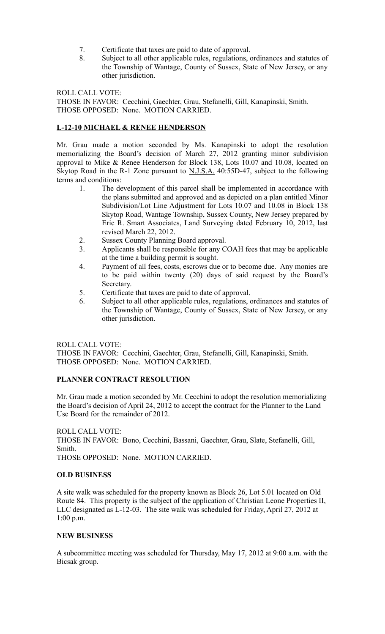- 7. Certificate that taxes are paid to date of approval.
- 8. Subject to all other applicable rules, regulations, ordinances and statutes of the Township of Wantage, County of Sussex, State of New Jersey, or any other jurisdiction.

ROLL CALL VOTE:

THOSE IN FAVOR: Cecchini, Gaechter, Grau, Stefanelli, Gill, Kanapinski, Smith. THOSE OPPOSED: None. MOTION CARRIED.

### **L-12-10 MICHAEL & RENEE HENDERSON**

Mr. Grau made a motion seconded by Ms. Kanapinski to adopt the resolution memorializing the Board's decision of March 27, 2012 granting minor subdivision approval to Mike & Renee Henderson for Block 138, Lots 10.07 and 10.08, located on Skytop Road in the R-1 Zone pursuant to N.J.S.A. 40:55D-47, subject to the following terms and conditions:

- 1. The development of this parcel shall be implemented in accordance with the plans submitted and approved and as depicted on a plan entitled Minor Subdivision/Lot Line Adjustment for Lots 10.07 and 10.08 in Block 138 Skytop Road, Wantage Township, Sussex County, New Jersey prepared by Eric R. Smart Associates, Land Surveying dated February 10, 2012, last revised March 22, 2012.
- 2. Sussex County Planning Board approval.
- 3. Applicants shall be responsible for any COAH fees that may be applicable at the time a building permit is sought.
- 4. Payment of all fees, costs, escrows due or to become due. Any monies are to be paid within twenty (20) days of said request by the Board's Secretary.
- 5. Certificate that taxes are paid to date of approval.
- 6. Subject to all other applicable rules, regulations, ordinances and statutes of the Township of Wantage, County of Sussex, State of New Jersey, or any other jurisdiction.

#### ROLL CALL VOTE:

THOSE IN FAVOR: Cecchini, Gaechter, Grau, Stefanelli, Gill, Kanapinski, Smith. THOSE OPPOSED: None. MOTION CARRIED.

#### **PLANNER CONTRACT RESOLUTION**

Mr. Grau made a motion seconded by Mr. Cecchini to adopt the resolution memorializing the Board's decision of April 24, 2012 to accept the contract for the Planner to the Land Use Board for the remainder of 2012.

ROLL CALL VOTE: THOSE IN FAVOR: Bono, Cecchini, Bassani, Gaechter, Grau, Slate, Stefanelli, Gill, Smith. THOSE OPPOSED: None. MOTION CARRIED.

#### **OLD BUSINESS**

A site walk was scheduled for the property known as Block 26, Lot 5.01 located on Old Route 84. This property is the subject of the application of Christian Leone Properties II, LLC designated as L-12-03. The site walk was scheduled for Friday, April 27, 2012 at 1:00 p.m.

### **NEW BUSINESS**

A subcommittee meeting was scheduled for Thursday, May 17, 2012 at 9:00 a.m. with the Bicsak group.